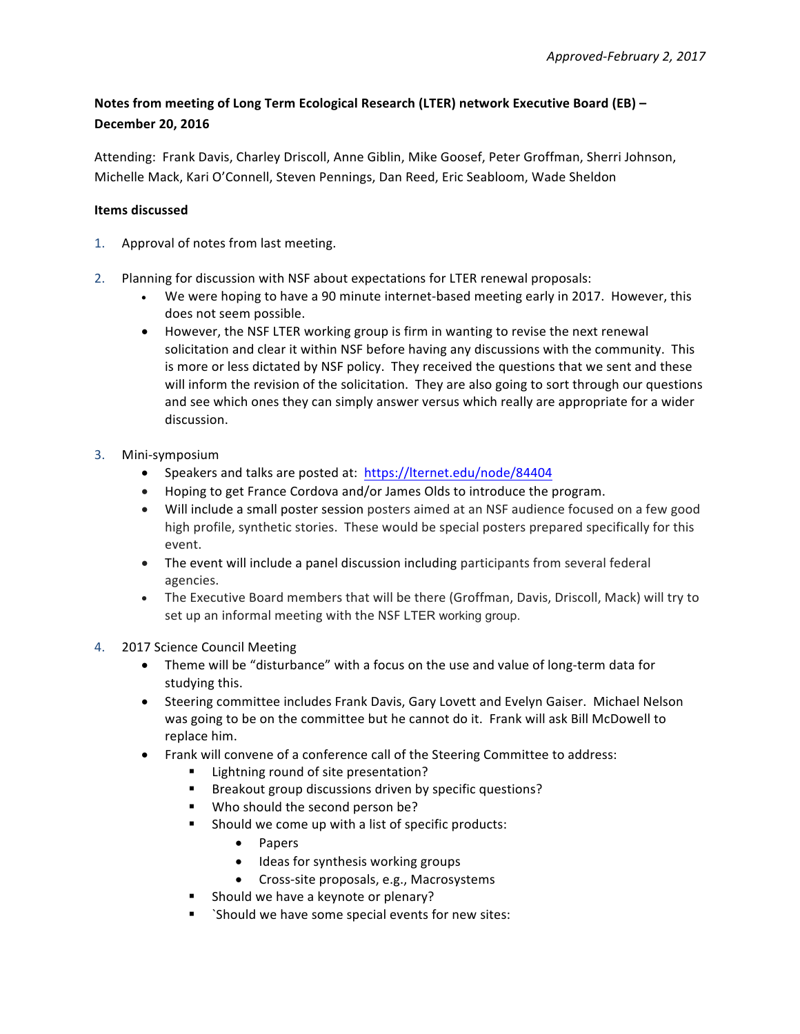## **Notes from meeting of Long Term Ecological Research (LTER) network Executive Board (EB) – December 20, 2016**

Attending: Frank Davis, Charley Driscoll, Anne Giblin, Mike Goosef, Peter Groffman, Sherri Johnson, Michelle Mack, Kari O'Connell, Steven Pennings, Dan Reed, Eric Seabloom, Wade Sheldon

## **Items discussed**

- 1. Approval of notes from last meeting.
- 2. Planning for discussion with NSF about expectations for LTER renewal proposals:
	- We were hoping to have a 90 minute internet-based meeting early in 2017. However, this does not seem possible.
	- However, the NSF LTER working group is firm in wanting to revise the next renewal solicitation and clear it within NSF before having any discussions with the community. This is more or less dictated by NSF policy. They received the questions that we sent and these will inform the revision of the solicitation. They are also going to sort through our questions and see which ones they can simply answer versus which really are appropriate for a wider discussion.
- 3. Mini-symposium
	- Speakers and talks are posted at: https://lternet.edu/node/84404
	- Hoping to get France Cordova and/or James Olds to introduce the program.
	- Will include a small poster session posters aimed at an NSF audience focused on a few good high profile, synthetic stories. These would be special posters prepared specifically for this event.
	- The event will include a panel discussion including participants from several federal agencies.
	- The Executive Board members that will be there (Groffman, Davis, Driscoll, Mack) will try to set up an informal meeting with the NSF LTER working group.
- 4. 2017 Science Council Meeting
	- Theme will be "disturbance" with a focus on the use and value of long-term data for studying this.
	- Steering committee includes Frank Davis, Gary Lovett and Evelyn Gaiser. Michael Nelson was going to be on the committee but he cannot do it. Frank will ask Bill McDowell to replace him.
	- Frank will convene of a conference call of the Steering Committee to address:
		- Lightning round of site presentation?
		- Breakout group discussions driven by specific questions?
		- Who should the second person be?
		- Should we come up with a list of specific products:
			- Papers
			- Ideas for synthesis working groups
			- Cross-site proposals, e.g., Macrosystems
		- Should we have a keynote or plenary?
		- `Should we have some special events for new sites: